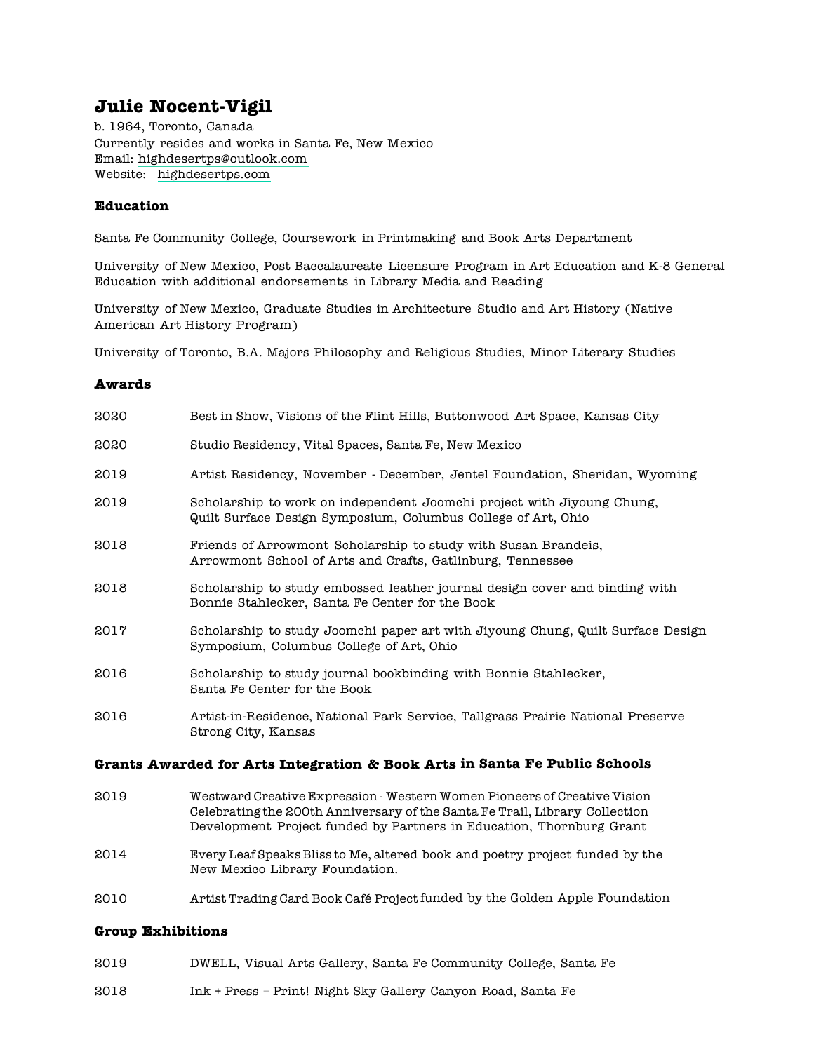# **Julie Nocent-Vigil**

b. 1964, Toronto, Canada Currently resides and works in Santa Fe, New Mexico Email: highdesertps@outlook.com Website: highdesertps.com

## **Education**

Santa Fe Community College, Coursework in Printmaking and Book Arts Department

University of New Mexico, Post Baccalaureate Licensure Program in Art Education and K-8 General Education with additional endorsements in Library Media and Reading

University of New Mexico, Graduate Studies in Architecture Studio and Art History (Native American Art History Program)

University of Toronto, B.A. Majors Philosophy and Religious Studies, Minor Literary Studies

#### **Awards**

| 2020<br>Studio Residency, Vital Spaces, Santa Fe, New Mexico                                                                                    | Artist Residency, November - December, Jentel Foundation, Sheridan, Wyoming                                                                                                                                                     |
|-------------------------------------------------------------------------------------------------------------------------------------------------|---------------------------------------------------------------------------------------------------------------------------------------------------------------------------------------------------------------------------------|
|                                                                                                                                                 |                                                                                                                                                                                                                                 |
| 2019                                                                                                                                            |                                                                                                                                                                                                                                 |
| 2019<br>Scholarship to work on independent Joomchi project with Jiyoung Chung,<br>Quilt Surface Design Symposium, Columbus College of Art, Ohio |                                                                                                                                                                                                                                 |
| 2018<br>Friends of Arrowmont Scholarship to study with Susan Brandeis,<br>Arrowmont School of Arts and Crafts, Gatlinburg, Tennessee            |                                                                                                                                                                                                                                 |
| 2018<br>Bonnie Stahlecker, Santa Fe Center for the Book                                                                                         | Scholarship to study embossed leather journal design cover and binding with                                                                                                                                                     |
| 2017<br>Symposium, Columbus College of Art, Ohio                                                                                                | Scholarship to study Joomchi paper art with Jiyoung Chung, Quilt Surface Design                                                                                                                                                 |
| 2016<br>Scholarship to study journal bookbinding with Bonnie Stahlecker,<br>Santa Fe Center for the Book                                        |                                                                                                                                                                                                                                 |
| 2016<br>Strong City, Kansas                                                                                                                     | Artist-in-Residence, National Park Service, Tallgrass Prairie National Preserve                                                                                                                                                 |
| Grants Awarded for Arts Integration & Book Arts in Santa Fe Public Schools                                                                      |                                                                                                                                                                                                                                 |
| 2019                                                                                                                                            | Westward Creative Expression - Western Women Pioneers of Creative Vision<br>Celebrating the 200th Anniversary of the Santa Fe Trail, Library Collection<br>Development Project funded by Partners in Education, Thornburg Grant |

- 2014 Every Leaf Speaks Bliss to Me, altered book and poetry project funded by the New Mexico Library Foundation.
- 2010 Artist Trading Card Book Café Project funded by the Golden Apple Foundation

#### **Group Exhibitions**

- 2019 DWELL, Visual Arts Gallery, Santa Fe Community College, Santa Fe
- 2018 Ink + Press = Print! Night Sky Gallery Canyon Road, Santa Fe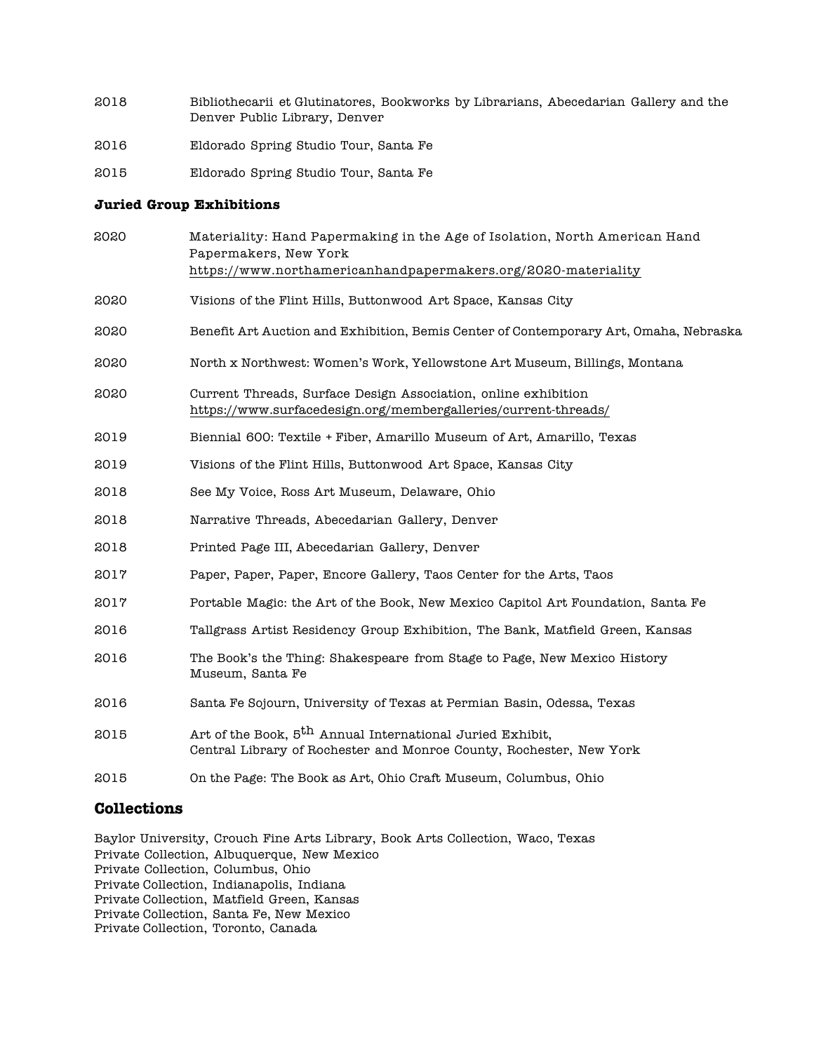- 2018 Bibliothecarii et Glutinatores, Bookworks by Librarians, Abecedarian Gallery and the Denver Public Library, Denver
- 2016 Eldorado Spring Studio Tour, Santa Fe
- 2015 Eldorado Spring Studio Tour, Santa Fe

#### **Juried Group Exhibitions**

| 2020 | Materiality: Hand Papermaking in the Age of Isolation, North American Hand<br>Papermakers, New York<br>https://www.northamericanhandpapermakers.org/2020-materiality |
|------|----------------------------------------------------------------------------------------------------------------------------------------------------------------------|
| 2020 | Visions of the Flint Hills, Buttonwood Art Space, Kansas City                                                                                                        |
| 2020 | Benefit Art Auction and Exhibition, Bemis Center of Contemporary Art, Omaha, Nebraska                                                                                |
| 2020 | North x Northwest: Women's Work, Yellowstone Art Museum, Billings, Montana                                                                                           |
| 2020 | Current Threads, Surface Design Association, online exhibition<br>https://www.surfacedesign.org/membergalleries/current-threads/                                     |
| 2019 | Biennial 600: Textile + Fiber, Amarillo Museum of Art, Amarillo, Texas                                                                                               |
| 2019 | Visions of the Flint Hills, Buttonwood Art Space, Kansas City                                                                                                        |
| 2018 | See My Voice, Ross Art Museum, Delaware, Ohio                                                                                                                        |
| 2018 | Narrative Threads, Abecedarian Gallery, Denver                                                                                                                       |
| 2018 | Printed Page III, Abecedarian Gallery, Denver                                                                                                                        |
| 2017 | Paper, Paper, Paper, Encore Gallery, Taos Center for the Arts, Taos                                                                                                  |
| 2017 | Portable Magic: the Art of the Book, New Mexico Capitol Art Foundation, Santa Fe                                                                                     |
| 2016 | Tallgrass Artist Residency Group Exhibition, The Bank, Matfield Green, Kansas                                                                                        |
| 2016 | The Book's the Thing: Shakespeare from Stage to Page, New Mexico History<br>Museum, Santa Fe                                                                         |
| 2016 | Santa Fe Sojourn, University of Texas at Permian Basin, Odessa, Texas                                                                                                |
| 2015 | Art of the Book, 5 <sup>th</sup> Annual International Juried Exhibit,<br>Central Library of Rochester and Monroe County, Rochester, New York                         |
| 2015 | On the Page: The Book as Art, Ohio Craft Museum, Columbus, Ohio                                                                                                      |
|      |                                                                                                                                                                      |

#### **Collections**

Baylor University, Crouch Fine Arts Library, Book Arts Collection, Waco, Texas Private Collection, Albuquerque, New Mexico Private Collection, Columbus, Ohio Private Collection, Indianapolis, Indiana Private Collection, Matfield Green, Kansas Private Collection, Santa Fe, New Mexico Private Collection, Toronto, Canada